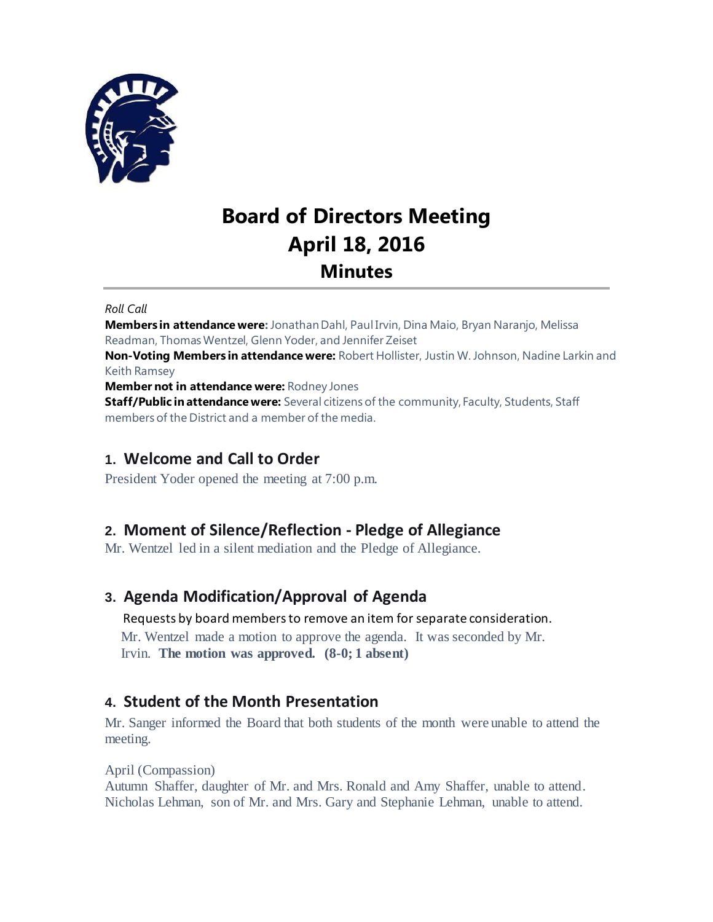

# **Board of Directors Meeting April 18, 2016 Minutes**

*Roll Call*

**Members in attendance were:** Jonathan Dahl, Paul Irvin, Dina Maio, Bryan Naranjo, Melissa Readman, Thomas Wentzel, Glenn Yoder, and Jennifer Zeiset **Non-Voting Members in attendance were:** Robert Hollister, Justin W. Johnson, Nadine Larkin and Keith Ramsey **Member not in attendance were:** Rodney Jones

**Staff/Public in attendance were:** Several citizens of the community, Faculty, Students, Staff members of the District and a member of the media.

# **1. Welcome and Call to Order**

President Yoder opened the meeting at 7:00 p.m.

# **2. Moment of Silence/Reflection - Pledge of Allegiance**

Mr. Wentzel led in a silent mediation and the Pledge of Allegiance.

# **3. Agenda Modification/Approval of Agenda**

Requests by board members to remove an item for separate consideration. Mr. Wentzel made a motion to approve the agenda. It was seconded by Mr.

Irvin. **The motion was approved. (8-0; 1 absent)**

# **4. Student of the Month Presentation**

Mr. Sanger informed the Board that both students of the month were unable to attend the meeting.

### April (Compassion)

Autumn Shaffer, daughter of Mr. and Mrs. Ronald and Amy Shaffer, unable to attend. Nicholas Lehman, son of Mr. and Mrs. Gary and Stephanie Lehman, unable to attend.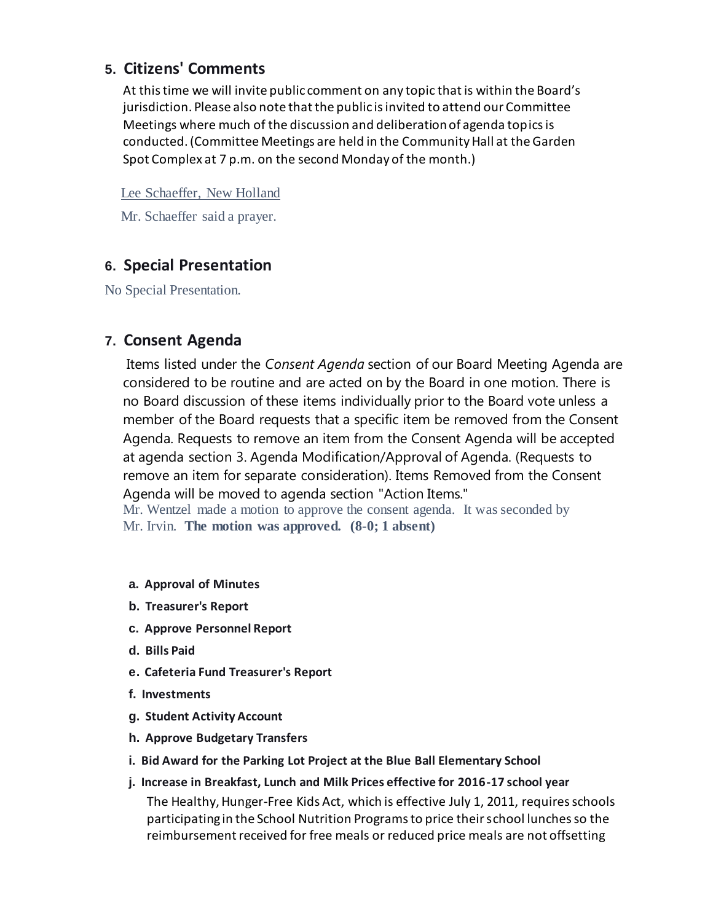### **5. Citizens' Comments**

At this time we will invite public comment on any topic that is within the Board's jurisdiction. Please also note that the public is invited to attend our Committee Meetings where much of the discussion and deliberation of agenda topics is conducted. (Committee Meetings are held in the Community Hall at the Garden Spot Complex at 7 p.m. on the second Monday of the month.)

Lee Schaeffer, New Holland

Mr. Schaeffer said a prayer.

# **6. Special Presentation**

No Special Presentation.

### **7. Consent Agenda**

Items listed under the *Consent Agenda* section of our Board Meeting Agenda are considered to be routine and are acted on by the Board in one motion. There is no Board discussion of these items individually prior to the Board vote unless a member of the Board requests that a specific item be removed from the Consent Agenda. Requests to remove an item from the Consent Agenda will be accepted at agenda section 3. Agenda Modification/Approval of Agenda. (Requests to remove an item for separate consideration). Items Removed from the Consent Agenda will be moved to agenda section "Action Items."

Mr. Wentzel made a motion to approve the consent agenda. It was seconded by Mr. Irvin. **The motion was approved. (8-0; 1 absent)**

- **a. Approval of Minutes**
- **b. Treasurer's Report**
- **c. Approve Personnel Report**
- **d. Bills Paid**
- **e. Cafeteria Fund Treasurer's Report**
- **f. Investments**
- **g. Student Activity Account**
- **h. Approve Budgetary Transfers**
- **i. Bid Award for the Parking Lot Project at the Blue Ball Elementary School**
- **j. Increase in Breakfast, Lunch and Milk Prices effective for 2016-17 school year** The Healthy, Hunger-Free Kids Act, which is effective July 1, 2011, requires schools participating in the School Nutrition Programs to price their school lunches so the reimbursement received for free meals or reduced price meals are not offsetting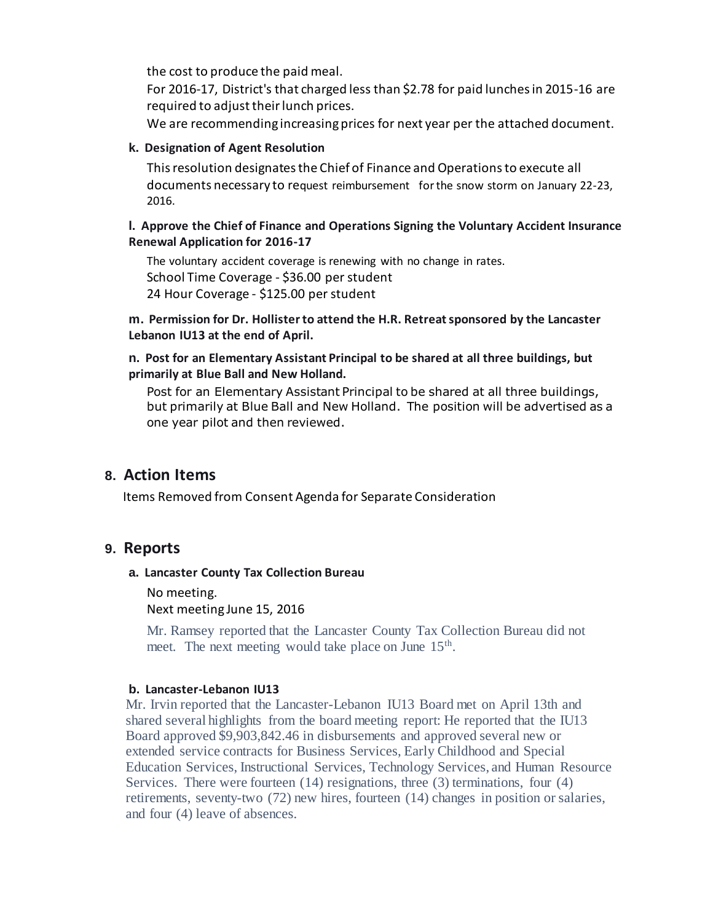the cost to produce the paid meal.

For 2016-17, District's that charged less than \$2.78 for paid lunches in 2015-16 are required to adjust their lunch prices.

We are recommending increasing prices for next year per the attached document.

#### **k. Designation of Agent Resolution**

This resolution designates the Chief of Finance and Operations to execute all documents necessary to request reimbursement for the snow storm on January 22-23, 2016.

#### **l. Approve the Chief of Finance and Operations Signing the Voluntary Accident Insurance Renewal Application for 2016-17**

The voluntary accident coverage is renewing with no change in rates. School Time Coverage - \$36.00 per student 24 Hour Coverage - \$125.00 per student

**m. Permission for Dr. Hollister to attend the H.R. Retreat sponsored by the Lancaster Lebanon IU13 at the end of April.**

#### **n. Post for an Elementary Assistant Principal to be shared at all three buildings, but primarily at Blue Ball and New Holland.**

Post for an Elementary Assistant Principal to be shared at all three buildings, but primarily at Blue Ball and New Holland. The position will be advertised as a one year pilot and then reviewed.

### **8. Action Items**

Items Removed from Consent Agenda for Separate Consideration

### **9. Reports**

#### **a. Lancaster County Tax Collection Bureau**

No meeting. Next meeting June 15, 2016

Mr. Ramsey reported that the Lancaster County Tax Collection Bureau did not meet. The next meeting would take place on June 15<sup>th</sup>.

#### **b. Lancaster-Lebanon IU13**

Mr. Irvin reported that the Lancaster-Lebanon IU13 Board met on April 13th and shared several highlights from the board meeting report: He reported that the IU13 Board approved \$9,903,842.46 in disbursements and approved several new or extended service contracts for Business Services, Early Childhood and Special Education Services, Instructional Services, Technology Services, and Human Resource Services. There were fourteen  $(14)$  resignations, three  $(3)$  terminations, four  $(4)$ retirements, seventy-two (72) new hires, fourteen (14) changes in position or salaries, and four (4) leave of absences.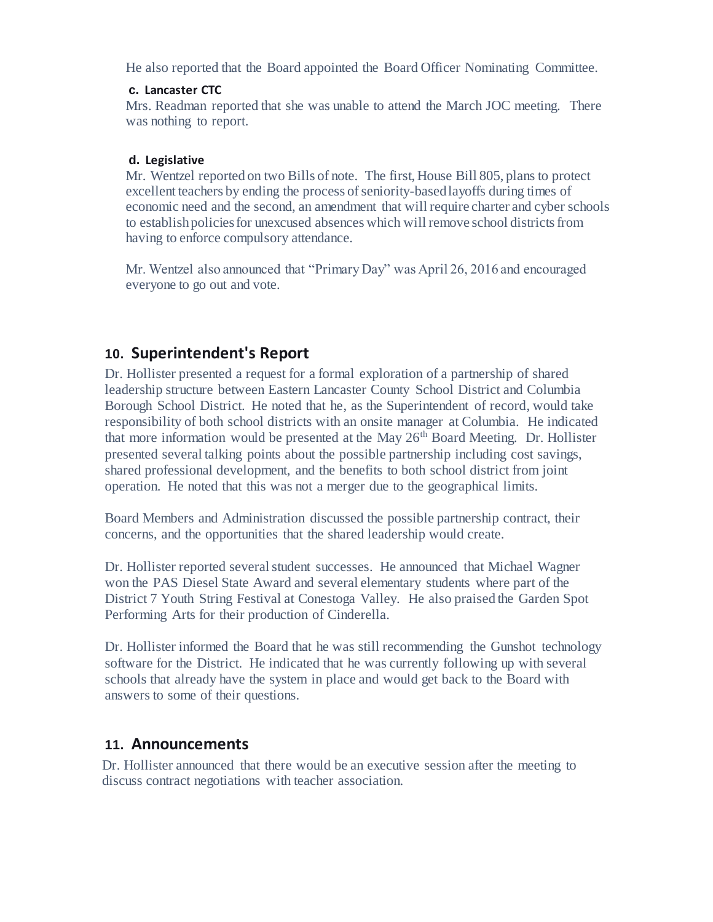He also reported that the Board appointed the Board Officer Nominating Committee.

#### **c. Lancaster CTC**

Mrs. Readman reported that she was unable to attend the March JOC meeting. There was nothing to report.

#### **d. Legislative**

Mr. Wentzel reported on two Bills of note. The first, House Bill 805, plans to protect excellent teachers by ending the process of seniority-based layoffs during times of economic need and the second, an amendment that will require charter and cyber schools to establish policies for unexcused absences which will remove school districts from having to enforce compulsory attendance.

Mr. Wentzel also announced that "Primary Day" was April 26, 2016 and encouraged everyone to go out and vote.

### **10. Superintendent's Report**

Dr. Hollister presented a request for a formal exploration of a partnership of shared leadership structure between Eastern Lancaster County School District and Columbia Borough School District. He noted that he, as the Superintendent of record, would take responsibility of both school districts with an onsite manager at Columbia. He indicated that more information would be presented at the May  $26<sup>th</sup>$  Board Meeting. Dr. Hollister presented several talking points about the possible partnership including cost savings, shared professional development, and the benefits to both school district from joint operation. He noted that this was not a merger due to the geographical limits.

Board Members and Administration discussed the possible partnership contract, their concerns, and the opportunities that the shared leadership would create.

Dr. Hollister reported several student successes. He announced that Michael Wagner won the PAS Diesel State Award and several elementary students where part of the District 7 Youth String Festival at Conestoga Valley. He also praised the Garden Spot Performing Arts for their production of Cinderella.

Dr. Hollister informed the Board that he was still recommending the Gunshot technology software for the District. He indicated that he was currently following up with several schools that already have the system in place and would get back to the Board with answers to some of their questions.

### **11. Announcements**

Dr. Hollister announced that there would be an executive session after the meeting to discuss contract negotiations with teacher association.